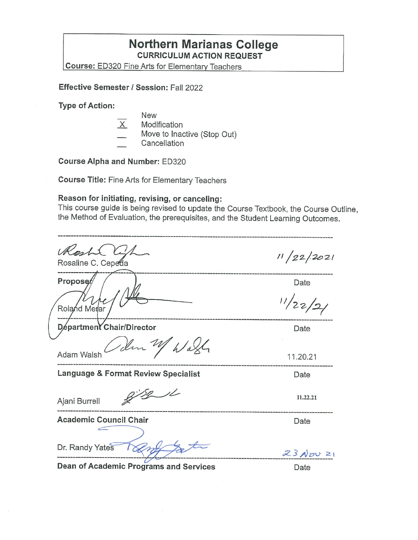### **Northern Marianas College CURRICULUM ACTION REQUEST**

**Course:** ED320 Fine Arts for Elementarv Teachers

**Effective Semester/ Session:** Fall 2022

**Type of Action:** 

New  $X$  Modification Move to Inactive (Stop Out)

**Cancellation** 

**Course Alpha and Number:** ED320

**Course Title:** Fine Arts for Elementary Teachers

#### **Reason for initiating, revising, or canceling:**

This course guide is being revised to update the Course Textbook, the Course Outline, the Method of Evaluation, the prerequisites, and the Student Learning Outcomes.

| Roshi<br>Rosaline C. Cepeda         | 11/22/2021           |
|-------------------------------------|----------------------|
| Proposer                            | Date                 |
| Roland Merar                        | 11/22                |
| Départment Chair/Director           | Date                 |
| den                                 |                      |
| Adam Walsh                          | 11.20.21             |
| Language & Format Review Specialist | Date                 |
| Ajani Burrell                       | 11.22.21             |
| <b>Academic Council Chair</b>       | Date                 |
|                                     |                      |
| Dr. Randy Yates                     | $23N_{\text{UV}}$ 21 |
|                                     |                      |

**Dean of Academic Programs and Services Canadian Exercise 19 and 2011**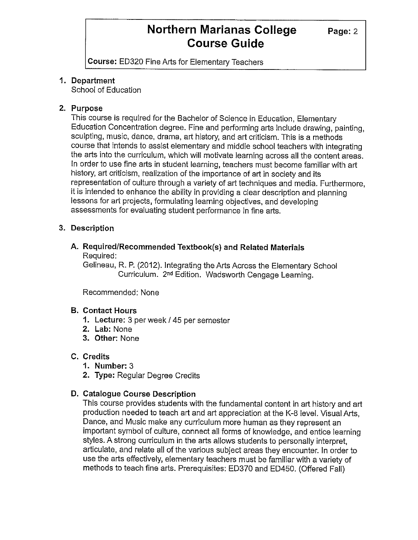**Course:** ED320 Fine Arts for Elementary Teachers

#### **1. Department**

School of Education

#### **2. Purpose**

This course is required for the Bachelor of Science in Education, Elementary Education Concentration degree. Fine and performing arts include drawing, painting, sculpting, music, dance, drama, art history, and art criticism. This is a methods course that intends to assist elementary and middle school teachers with integrating the arts into the curriculum, which will motivate learning across all the content areas. In order to use fine arts in student learning, teachers must become familiar with art history, art criticism, realization of the importance of art in society and its representation of culture through a variety of art techniques and media. Furthermore, it is intended to enhance the ability in providing a clear description and planning lessons for art projects, formulating learning objectives, and developing assessments for evaluating student performance in fine arts.

#### **3. Description**

#### **A. Required/Recommended Textbook(s) and Related Materials**  Required:

Gelineau, R. P. (2012). Integrating the Arts Across the Elementary School Curriculum. 2nd Edition. Wadsworth Cengage Learning.

Recommended: None

#### **B. Contact Hours**

- **1. Lecture:** 3 per week/ 45 per semester
- **2. Lab:** None
- **3. Other:** None

#### **C. Credits**

- **1. Number:** 3
- **2. Type:** Regular Degree Credits

#### **D. Catalogue Course Description**

This course provides students with the fundamental content in art history and art production needed to teach art and art appreciation at the K-8 level. Visual Arts, Dance, and Music make any curriculum more human as they represent an important symbol of culture, connect all forms of knowledge, and entice learning styles. A strong curriculum in the arts allows students to personally interpret, articulate, and relate all of the various subject areas they encounter. In order to use the arts effectively, elementary teachers must be familiar with a variety of methods to teach fine arts. Prerequisites: ED370 and ED450. (Offered Fall)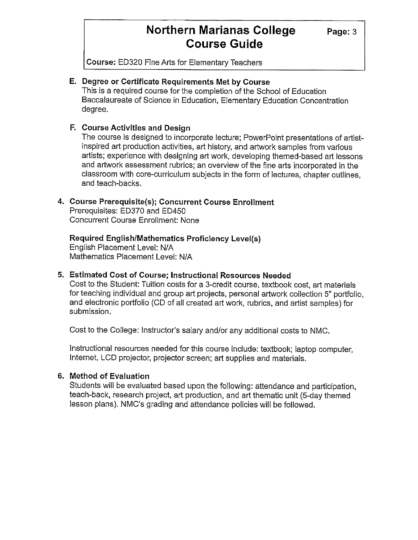**Course:** ED320 Fine Arts for Elementary Teachers

#### **E. Degree or Certificate Requirements Met by Course**

This is a required course for the completion of the School of Education Baccalaureate of Science in Education, Elementary Education Concentration degree.

#### **F. Course Activities and Design**

The course is designed to incorporate lecture; PowerPoint presentations of artistinspired art production activities, art history, and artwork samples from various artists; experience with designing art work, developing themed-based art lessons and artwork assessment rubrics; an overview of the fine arts incorporated in the classroom with core-curriculum subjects in the form of lectures, chapter outlines, and teach-backs.

#### **4. Course Prerequisite(s); Concurrent Course Enrollment**

Prerequisites: ED370 and ED450 Concurrent Course Enrollment: None

### **Required English/Mathematics Proficiency Level(s)**

English Placement Level: N/A Mathematics Placement Level: N/A

#### **5. Estimated Cost of Course; Instructional Resources Needed**

Cost to the Student: Tuition costs for a 3-credit course, textbook cost, art materials for teaching individual and group art projects, personal artwork collection 5" portfolio, and electronic portfolio (CD of all created art work, rubrics, and artist samples) for submission.

Cost to the College: Instructor's salary and/or any additional costs to NMC.

Instructional resources needed for this course include: textbook; laptop computer, Internet, LCD projector, projector screen; art supplies and materials.

#### **6. Method of Evaluation**

Students will be evaluated based upon the following: attendance and participation, teach-back, research project, art production, and art thematic unit (5-day themed lesson plans). NMC's grading and attendance policies will be followed.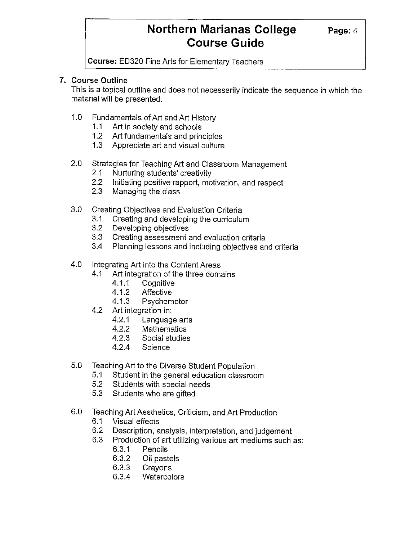**Course:** ED320 Fine Arts for Elementary Teachers

#### **7. Course Outline**

This is a topical outline and does not necessarily indicate the sequence in which the matenal will be presented.

- 1.0 Fundamentals of Art and Art History
	- 1.1 Art in society and schools
	- 1.2 Art fundamentals and principles
	- 1.3 Appreciate art and visual culture
- 2.0 Strategies for Teaching Art and Classroom Management
	- 2.1 Nurturing students' creativity
	- 2.2 Initiating positive rapport, motivation, and respect
	- 2.3 Managing the class
- 3.0 Creating Objectives and Evaluation Criteria
	- 3.1 Creating and developing the curriculum
	- 3.2 Developing objectives
	- 3.3 Creating assessment and evaluation criteria
	- 3.4 Planning lessons and including objectives and criteria
- 4.0 Integrating Art into the Content Areas
	- 4.1 Art integration of the three domains
		- 4.1.1 Cognitive
		- 4.1.2 Affective
		- 4.1.3 Psychomotor
	- 4.2 Art integration in:
		- 4.2.1 Language arts
		- 4.2.2 Mathematics
		- 4.2.3 Social studies
		- 4.2.4 Science
- 5.0 Teaching Art to the Diverse Student Population
	- 5.1 Student in the general education classroom
	- 5.2 Students with special needs
	- 5.3 Students who are gifted
- 6.0 Teaching Art Aesthetics, Criticism, and Art Production
	- 6.1 Visual effects
	- 6.2 Description, analysis, interpretation, and judgement
	- 6.3 Production of art utilizing various art mediums such as:
		- 6.3.1 Pencils
		- 6.3.2 Oil pastels
		- 6.3.3 Crayons
		- 6.3.4 Watercolors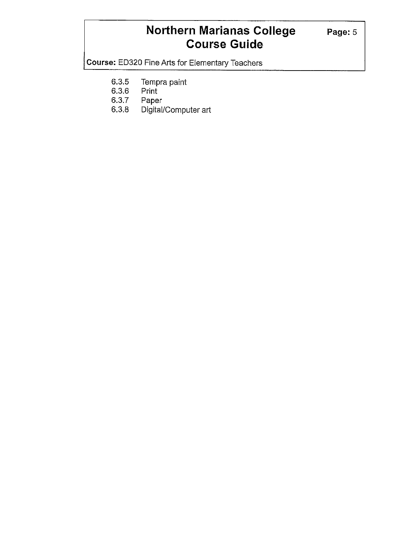**Course:** ED320 Fine Arts for Elementary Teachers

- 6.3.5 Tempra paint<br>6.3.6 Print
- 6.3.6 Print
- 6.3.7 Paper
- Digital/Computer art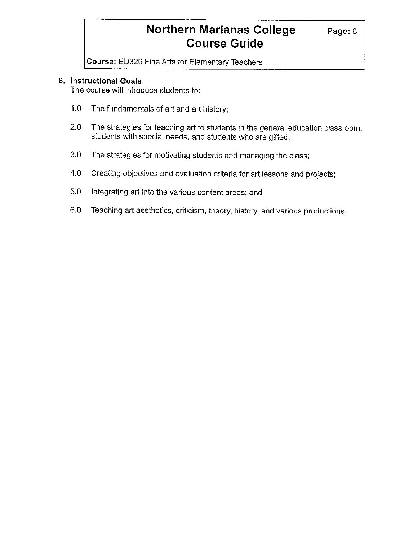**Course:** ED320 Fine Arts for Elementary Teachers

#### **8. Instructional Goals**

The course will introduce students to:

- 1.0 The fundamentals of art and art history;
- 2.0 The strategies for teaching art to students in the general education classroom, students with special needs, and students who are gifted;
- 3.0 The strategies for motivating students and managing the class;
- 4.0 Creating objectives and evaluation criteria for art lessons and projects;
- 5.0 Integrating art into the various content areas; and
- 6.0 Teaching art aesthetics, criticism, theory, history, and various productions.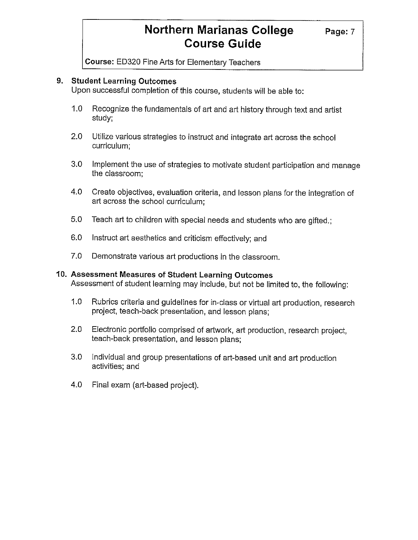**Course:** ED320 Fine Arts for Elementary Teachers

#### **9. Student Learning Outcomes**

Upon successful completion of this course, students will be able to:

- 1.0 Recognize the fundamentals of art and art history through text and artist study;
- 2.0 Utilize various strategies to instruct and integrate art across the school curriculum;
- 3.0 Implement the use of strategies to motivate student participation and manage the classroom;
- 4.0 Create objectives, evaluation criteria, and lesson plans for the integration of art across the school curriculum;
- 5.0 Teach art to children with special needs and students who are gifted.;
- 6.0 Instruct art aesthetics and criticism effectively; and
- 7.0 Demonstrate various art productions in the classroom.

#### **10. Assessment Measures of Student Learning Outcomes**

Assessment of student learning may include, but not be limited to, the following:

- 1.0 Rubrics criteria and guidelines for in-class or virtual art production, research project, teach-back presentation, and lesson plans;
- 2.0 Electronic portfolio comprised of artwork, art production, research project, teach-back presentation, and lesson plans;
- 3.0 Individual and group presentations of art-based unit and art production activities; and
- 4.0 Final exam (art-based project).